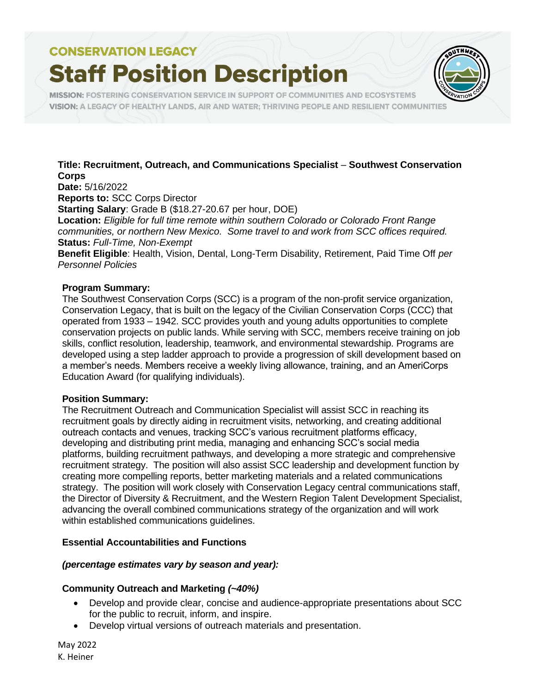# **Staff Position Description**



**MISSION: FOSTERING CONSERVATION SERVICE IN SUPPORT OF COMMUNITIES AND ECOSYSTEMS** VISION: A LEGACY OF HEALTHY LANDS, AIR AND WATER; THRIVING PEOPLE AND RESILIENT COMMUNITIES

### **Title: Recruitment, Outreach, and Communications Specialist** – **Southwest Conservation Corps**

**Date:** 5/16/2022

**Reports to:** SCC Corps Director

**Starting Salary**: Grade B (\$18.27-20.67 per hour, DOE)

**Location:** *Eligible for full time remote within southern Colorado or Colorado Front Range communities, or northern New Mexico. Some travel to and work from SCC offices required.* **Status:** *Full-Time, Non-Exempt*

**Benefit Eligible**: Health, Vision, Dental, Long-Term Disability, Retirement, Paid Time Off *per Personnel Policies*

#### **Program Summary:**

The Southwest Conservation Corps (SCC) is a program of the non-profit service organization, Conservation Legacy, that is built on the legacy of the Civilian Conservation Corps (CCC) that operated from 1933 – 1942. SCC provides youth and young adults opportunities to complete conservation projects on public lands. While serving with SCC, members receive training on job skills, conflict resolution, leadership, teamwork, and environmental stewardship. Programs are developed using a step ladder approach to provide a progression of skill development based on a member's needs. Members receive a weekly living allowance, training, and an AmeriCorps Education Award (for qualifying individuals).

#### **Position Summary:**

The Recruitment Outreach and Communication Specialist will assist SCC in reaching its recruitment goals by directly aiding in recruitment visits, networking, and creating additional outreach contacts and venues, tracking SCC's various recruitment platforms efficacy, developing and distributing print media, managing and enhancing SCC's social media platforms, building recruitment pathways, and developing a more strategic and comprehensive recruitment strategy. The position will also assist SCC leadership and development function by creating more compelling reports, better marketing materials and a related communications strategy. The position will work closely with Conservation Legacy central communications staff, the Director of Diversity & Recruitment, and the Western Region Talent Development Specialist, advancing the overall combined communications strategy of the organization and will work within established communications guidelines.

### **Essential Accountabilities and Functions**

### *(percentage estimates vary by season and year):*

### **Community Outreach and Marketing** *(~40%)*

- Develop and provide clear, concise and audience-appropriate presentations about SCC for the public to recruit, inform, and inspire.
- Develop virtual versions of outreach materials and presentation.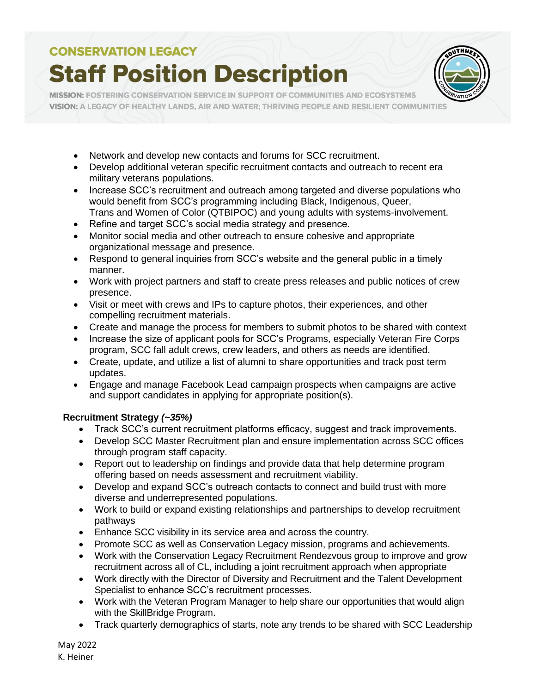# **Staff Position Description**



MISSION: FOSTERING CONSERVATION SERVICE IN SUPPORT OF COMMUNITIES AND ECOSYSTEMS VISION: A LEGACY OF HEALTHY LANDS, AIR AND WATER; THRIVING PEOPLE AND RESILIENT COMMUNITIES

- Network and develop new contacts and forums for SCC recruitment.
- Develop additional veteran specific recruitment contacts and outreach to recent era military veterans populations.
- Increase SCC's recruitment and outreach among targeted and diverse populations who would benefit from SCC's programming including Black, Indigenous, Queer, Trans and Women of Color (QTBIPOC) and young adults with systems-involvement.
- Refine and target SCC's social media strategy and presence.
- Monitor social media and other outreach to ensure cohesive and appropriate organizational message and presence.
- Respond to general inquiries from SCC's website and the general public in a timely manner.
- Work with project partners and staff to create press releases and public notices of crew presence.
- Visit or meet with crews and IPs to capture photos, their experiences, and other compelling recruitment materials.
- Create and manage the process for members to submit photos to be shared with context
- Increase the size of applicant pools for SCC's Programs, especially Veteran Fire Corps program, SCC fall adult crews, crew leaders, and others as needs are identified.
- Create, update, and utilize a list of alumni to share opportunities and track post term updates.
- Engage and manage Facebook Lead campaign prospects when campaigns are active and support candidates in applying for appropriate position(s).

### **Recruitment Strategy** *(~35%)*

- Track SCC's current recruitment platforms efficacy, suggest and track improvements.
- Develop SCC Master Recruitment plan and ensure implementation across SCC offices through program staff capacity.
- Report out to leadership on findings and provide data that help determine program offering based on needs assessment and recruitment viability.
- Develop and expand SCC's outreach contacts to connect and build trust with more diverse and underrepresented populations.
- Work to build or expand existing relationships and partnerships to develop recruitment pathways
- Enhance SCC visibility in its service area and across the country.
- Promote SCC as well as Conservation Legacy mission, programs and achievements.
- Work with the Conservation Legacy Recruitment Rendezvous group to improve and grow recruitment across all of CL, including a joint recruitment approach when appropriate
- Work directly with the Director of Diversity and Recruitment and the Talent Development Specialist to enhance SCC's recruitment processes.
- Work with the Veteran Program Manager to help share our opportunities that would align with the SkillBridge Program.
- Track quarterly demographics of starts, note any trends to be shared with SCC Leadership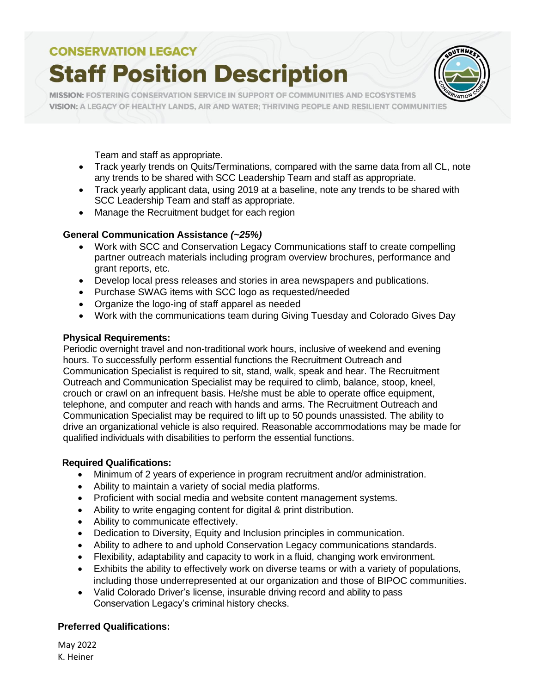# **Staff Position Description**



MISSION: FOSTERING CONSERVATION SERVICE IN SUPPORT OF COMMUNITIES AND ECOSYSTEMS VISION: A LEGACY OF HEALTHY LANDS, AIR AND WATER; THRIVING PEOPLE AND RESILIENT COMMUNITIES

Team and staff as appropriate.

- Track yearly trends on Quits/Terminations, compared with the same data from all CL, note any trends to be shared with SCC Leadership Team and staff as appropriate.
- Track yearly applicant data, using 2019 at a baseline, note any trends to be shared with SCC Leadership Team and staff as appropriate.
- Manage the Recruitment budget for each region

### **General Communication Assistance** *(~25%)*

- Work with SCC and Conservation Legacy Communications staff to create compelling partner outreach materials including program overview brochures, performance and grant reports, etc.
- Develop local press releases and stories in area newspapers and publications.
- Purchase SWAG items with SCC logo as requested/needed
- Organize the logo-ing of staff apparel as needed
- Work with the communications team during Giving Tuesday and Colorado Gives Day

### **Physical Requirements:**

Periodic overnight travel and non-traditional work hours, inclusive of weekend and evening hours. To successfully perform essential functions the Recruitment Outreach and Communication Specialist is required to sit, stand, walk, speak and hear. The Recruitment Outreach and Communication Specialist may be required to climb, balance, stoop, kneel, crouch or crawl on an infrequent basis. He/she must be able to operate office equipment, telephone, and computer and reach with hands and arms. The Recruitment Outreach and Communication Specialist may be required to lift up to 50 pounds unassisted. The ability to drive an organizational vehicle is also required. Reasonable accommodations may be made for qualified individuals with disabilities to perform the essential functions.

### **Required Qualifications:**

- Minimum of 2 years of experience in program recruitment and/or administration.
- Ability to maintain a variety of social media platforms.
- Proficient with social media and website content management systems.
- Ability to write engaging content for digital & print distribution.
- Ability to communicate effectively.
- Dedication to Diversity, Equity and Inclusion principles in communication.
- Ability to adhere to and uphold Conservation Legacy communications standards.
- Flexibility, adaptability and capacity to work in a fluid, changing work environment.
- Exhibits the ability to effectively work on diverse teams or with a variety of populations, including those underrepresented at our organization and those of BIPOC communities.
- Valid Colorado Driver's license, insurable driving record and ability to pass Conservation Legacy's criminal history checks.

### **Preferred Qualifications:**

May 2022 K. Heiner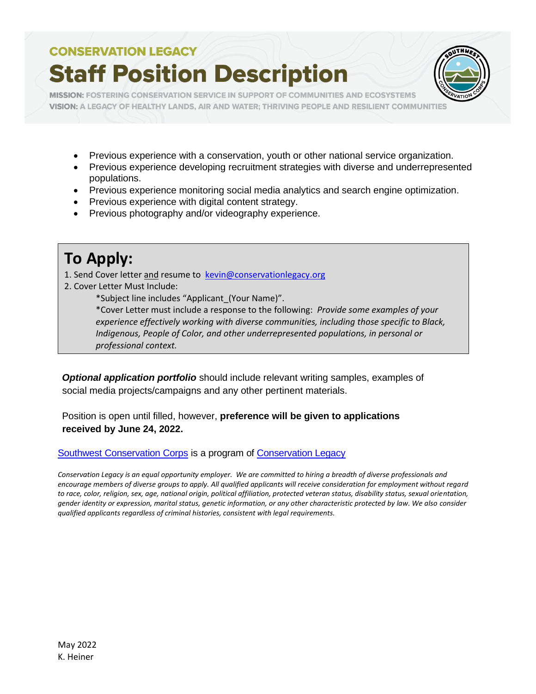# **Staff Position Description**



**MISSION: FOSTERING CONSERVATION SERVICE IN SUPPORT OF COMMUNITIES AND ECOSYSTEMS** VISION: A LEGACY OF HEALTHY LANDS, AIR AND WATER; THRIVING PEOPLE AND RESILIENT COMMUNITIES

- Previous experience with a conservation, youth or other national service organization.
- Previous experience developing recruitment strategies with diverse and underrepresented populations.
- Previous experience monitoring social media analytics and search engine optimization.
- Previous experience with digital content strategy.
- Previous photography and/or videography experience.

## **To Apply:**

- 1. Send Cover letter and resume to kevin@conservationlegacy.org
- 2. Cover Letter Must Include:
	- \*Subject line includes "Applicant\_(Your Name)".

\*Cover Letter must include a response to the following: *Provide some examples of your experience effectively working with diverse communities, including those specific to Black, Indigenous, People of Color, and other underrepresented populations, in personal or professional context.* 

*Optional application portfolio* should include relevant writing samples, examples of social media projects/campaigns and any other pertinent materials.

Position is open until filled, however, **preference will be given to applications received by June 24, 2022.**

Southwest [Conservation](https://sccorps.org/) Corps is a program of [Conservation Legacy](https://conservationlegacy.org/)

*Conservation Legacy is an equal opportunity employer. We are committed to hiring a breadth of diverse professionals and encourage members of diverse groups to apply. All qualified applicants will receive consideration for employment without regard to race, color, religion, sex, age, national origin, political affiliation, protected veteran status, disability status, sexual orientation, gender identity or expression, marital status, genetic information, or any other characteristic protected by law. We also consider qualified applicants regardless of criminal histories, consistent with legal requirements.*